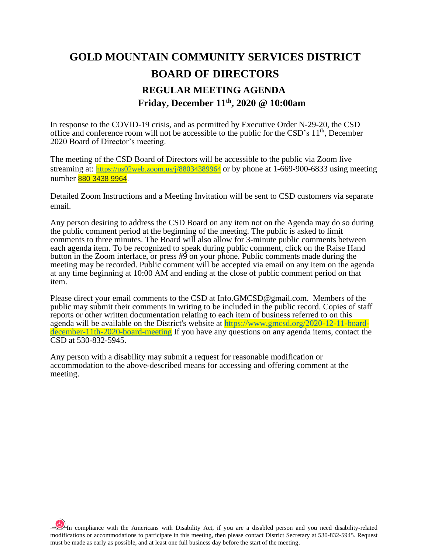# **GOLD MOUNTAIN COMMUNITY SERVICES DISTRICT BOARD OF DIRECTORS REGULAR MEETING AGENDA Friday, December 11th, 2020 @ 10:00am**

In response to the COVID-19 crisis, and as permitted by Executive Order N-29-20, the CSD office and conference room will not be accessible to the public for the CSD's 11<sup>th</sup>, December 2020 Board of Director's meeting.

The meeting of the CSD Board of Directors will be accessible to the public via Zoom live streaming at: <https://us02web.zoom.us/j/88034389964> or by phone at 1-669-900-6833 using meeting number 880 3438 9964.

Detailed Zoom Instructions and a Meeting Invitation will be sent to CSD customers via separate email.

Any person desiring to address the CSD Board on any item not on the Agenda may do so during the public comment period at the beginning of the meeting. The public is asked to limit comments to three minutes. The Board will also allow for 3-minute public comments between each agenda item. To be recognized to speak during public comment, click on the Raise Hand button in the Zoom interface, or press #9 on your phone. Public comments made during the meeting may be recorded. Public comment will be accepted via email on any item on the agenda at any time beginning at 10:00 AM and ending at the close of public comment period on that item.

Please direct your email comments to the CSD at  $Info.GMCSD@gmail.com$ . Members of the public may submit their comments in writing to be included in the public record. Copies of staff reports or other written documentation relating to each item of business referred to on this agenda will be available on the District's website at [https://www.gmcsd.org/2020-12-11-board](https://www.gmcsd.org/2020-12-11-board-december-11th-2020-board-meeting)[december-11th-2020-board-meeting](https://www.gmcsd.org/2020-12-11-board-december-11th-2020-board-meeting) If you have any questions on any agenda items, contact the CSD at 530-832-5945.

Any person with a disability may submit a request for reasonable modification or accommodation to the above-described means for accessing and offering comment at the meeting.

 $\frac{1}{2}$ In compliance with the Americans with Disability Act, if you are a disabled person and you need disability-related modifications or accommodations to participate in this meeting, then please contact District Secretary at 530-832-5945. Request must be made as early as possible, and at least one full business day before the start of the meeting.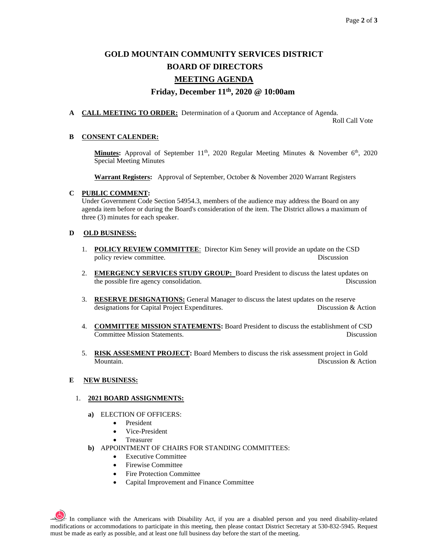# **GOLD MOUNTAIN COMMUNITY SERVICES DISTRICT BOARD OF DIRECTORS MEETING AGENDA**

# **Friday, December 11th , 2020 @ 10:00am**

**A CALL MEETING TO ORDER:** Determination of a Quorum and Acceptance of Agenda.

Roll Call Vote

### **B CONSENT CALENDER:**

Minutes: Approval of September 11<sup>th</sup>, 2020 Regular Meeting Minutes & November 6<sup>th</sup>, 2020 Special Meeting Minutes

**Warrant Registers:** Approval of September, October & November 2020 Warrant Registers

# **C PUBLIC COMMENT:**

Under Government Code Section 54954.3, members of the audience may address the Board on any agenda item before or during the Board's consideration of the item. The District allows a maximum of three (3) minutes for each speaker.

## **D OLD BUSINESS:**

- 1. **POLICY REVIEW COMMITTEE**: Director Kim Seney will provide an update on the CSD policy review committee. Discussion
- 2. **EMERGENCY SERVICES STUDY GROUP:** Board President to discuss the latest updates on the possible fire agency consolidation. Discussion
- 3. **RESERVE DESIGNATIONS:** General Manager to discuss the latest updates on the reserve designations for Capital Project Expenditures. Discussion & Action
- 4. **COMMITTEE MISSION STATEMENTS:** Board President to discuss the establishment of CSD Committee Mission Statements. Discussion
- 5. **RISK ASSESMENT PROJECT:** Board Members to discuss the risk assessment project in Gold Mountain. Discussion & Action

## **E NEW BUSINESS:**

#### 1. **2021 BOARD ASSIGNMENTS:**

- **a)** ELECTION OF OFFICERS:
	- President
	- Vice-President
	- **Treasurer**
- **b)** APPOINTMENT OF CHAIRS FOR STANDING COMMITTEES:
	- Executive Committee
	- Firewise Committee
	- Fire Protection Committee
	- Capital Improvement and Finance Committee

 $\frac{1}{2}$  In compliance with the Americans with Disability Act, if you are a disabled person and you need disability-related modifications or accommodations to participate in this meeting, then please contact District Secretary at 530-832-5945. Request must be made as early as possible, and at least one full business day before the start of the meeting.